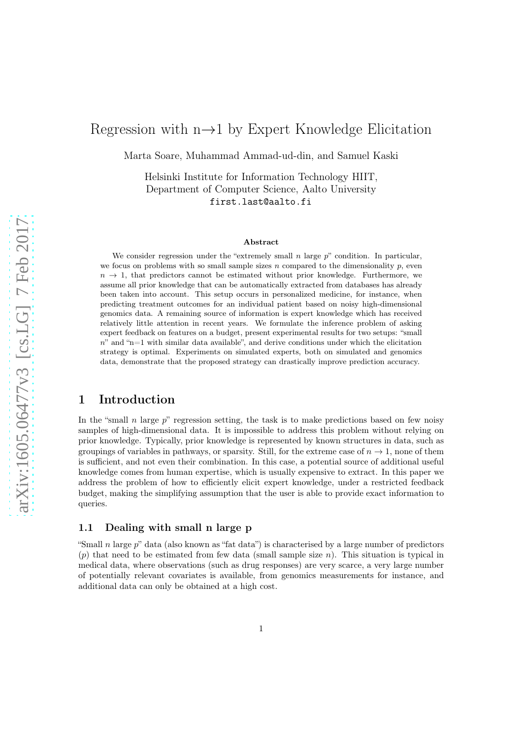# Regression with  $n\rightarrow 1$  by Expert Knowledge Elicitation

Marta Soare, Muhammad Ammad-ud-din, and Samuel Kaski

Helsinki Institute for Information Technology HIIT, Department of Computer Science, Aalto University first.last@aalto.fi

#### Abstract

We consider regression under the "extremely small n large  $p$ " condition. In particular, we focus on problems with so small sample sizes n compared to the dimensionality p, even  $n \to 1$ , that predictors cannot be estimated without prior knowledge. Furthermore, we assume all prior knowledge that can be automatically extracted from databases has already been taken into account. This setup occurs in personalized medicine, for instance, when predicting treatment outcomes for an individual patient based on noisy high-dimensional genomics data. A remaining source of information is expert knowledge which has received relatively little attention in recent years. We formulate the inference problem of asking expert feedback on features on a budget, present experimental results for two setups: "small  $n$ " and "n=1 with similar data available", and derive conditions under which the elicitation strategy is optimal. Experiments on simulated experts, both on simulated and genomics data, demonstrate that the proposed strategy can drastically improve prediction accuracy.

# 1 Introduction

In the "small n large  $p$ " regression setting, the task is to make predictions based on few noisy samples of high-dimensional data. It is impossible to address this problem without relying on prior knowledge. Typically, prior knowledge is represented by known structures in data, such as groupings of variables in pathways, or sparsity. Still, for the extreme case of  $n \to 1$ , none of them is sufficient, and not even their combination. In this case, a potential source of additional useful knowledge comes from human expertise, which is usually expensive to extract. In this paper we address the problem of how to efficiently elicit expert knowledge, under a restricted feedback budget, making the simplifying assumption that the user is able to provide exact information to queries.

### 1.1 Dealing with small n large p

"Small n large  $p$ " data (also known as "fat data") is characterised by a large number of predictors  $(p)$  that need to be estimated from few data (small sample size n). This situation is typical in medical data, where observations (such as drug responses) are very scarce, a very large number of potentially relevant covariates is available, from genomics measurements for instance, and additional data can only be obtained at a high cost.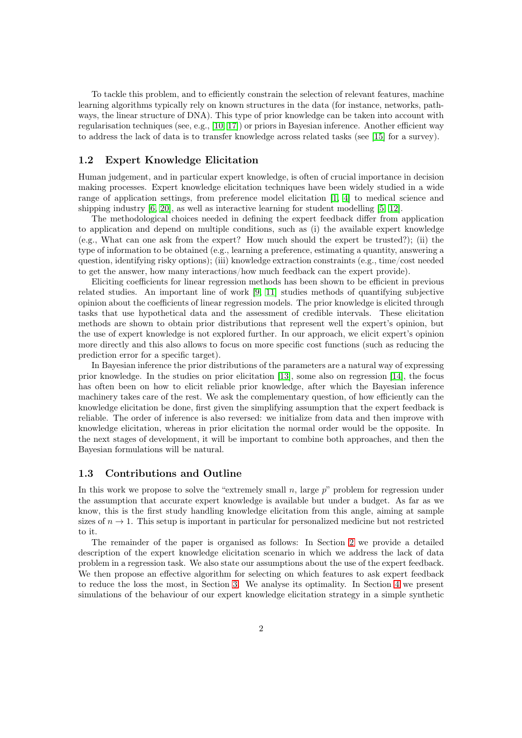To tackle this problem, and to efficiently constrain the selection of relevant features, machine learning algorithms typically rely on known structures in the data (for instance, networks, pathways, the linear structure of DNA). This type of prior knowledge can be taken into account with regularisation techniques (see, e.g., [\[10,](#page-13-0) [17\]](#page-14-0)) or priors in Bayesian inference. Another efficient way to address the lack of data is to transfer knowledge across related tasks (see [\[15\]](#page-13-1) for a survey).

### 1.2 Expert Knowledge Elicitation

Human judgement, and in particular expert knowledge, is often of crucial importance in decision making processes. Expert knowledge elicitation techniques have been widely studied in a wide range of application settings, from preference model elicitation [\[1,](#page-12-0) [4\]](#page-13-2) to medical science and shipping industry [\[6,](#page-13-3) [20\]](#page-14-1), as well as interactive learning for student modelling [\[5,](#page-13-4) [12\]](#page-13-5).

The methodological choices needed in defining the expert feedback differ from application to application and depend on multiple conditions, such as (i) the available expert knowledge (e.g., What can one ask from the expert? How much should the expert be trusted?); (ii) the type of information to be obtained (e.g., learning a preference, estimating a quantity, answering a question, identifying risky options); (iii) knowledge extraction constraints (e.g., time/cost needed to get the answer, how many interactions/how much feedback can the expert provide).

Eliciting coefficients for linear regression methods has been shown to be efficient in previous related studies. An important line of work [\[9,](#page-13-6) [11\]](#page-13-7) studies methods of quantifying subjective opinion about the coefficients of linear regression models. The prior knowledge is elicited through tasks that use hypothetical data and the assessment of credible intervals. These elicitation methods are shown to obtain prior distributions that represent well the expert's opinion, but the use of expert knowledge is not explored further. In our approach, we elicit expert's opinion more directly and this also allows to focus on more specific cost functions (such as reducing the prediction error for a specific target).

In Bayesian inference the prior distributions of the parameters are a natural way of expressing prior knowledge. In the studies on prior elicitation [\[13\]](#page-13-8), some also on regression [\[14\]](#page-13-9), the focus has often been on how to elicit reliable prior knowledge, after which the Bayesian inference machinery takes care of the rest. We ask the complementary question, of how efficiently can the knowledge elicitation be done, first given the simplifying assumption that the expert feedback is reliable. The order of inference is also reversed: we initialize from data and then improve with knowledge elicitation, whereas in prior elicitation the normal order would be the opposite. In the next stages of development, it will be important to combine both approaches, and then the Bayesian formulations will be natural.

#### 1.3 Contributions and Outline

In this work we propose to solve the "extremely small  $n$ , large  $p$ " problem for regression under the assumption that accurate expert knowledge is available but under a budget. As far as we know, this is the first study handling knowledge elicitation from this angle, aiming at sample sizes of  $n \to 1$ . This setup is important in particular for personalized medicine but not restricted to it.

The remainder of the paper is organised as follows: In Section [2](#page-2-0) we provide a detailed description of the expert knowledge elicitation scenario in which we address the lack of data problem in a regression task. We also state our assumptions about the use of the expert feedback. We then propose an effective algorithm for selecting on which features to ask expert feedback to reduce the loss the most, in Section [3.](#page-4-0) We analyse its optimality. In Section [4](#page-6-0) we present simulations of the behaviour of our expert knowledge elicitation strategy in a simple synthetic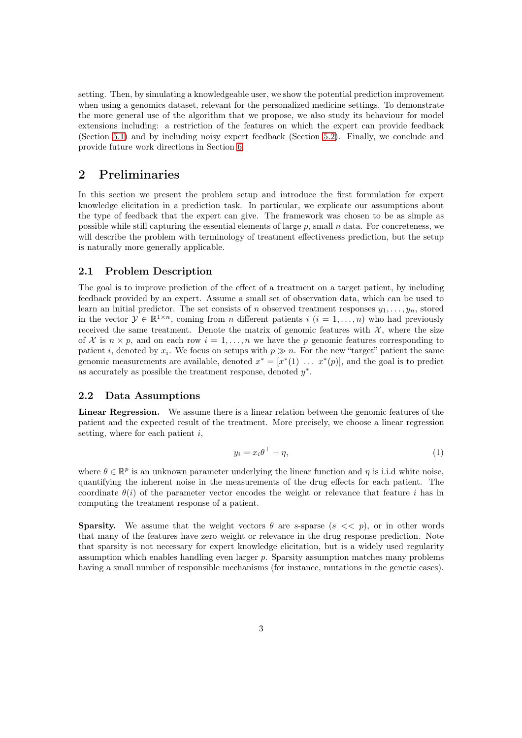setting. Then, by simulating a knowledgeable user, we show the potential prediction improvement when using a genomics dataset, relevant for the personalized medicine settings. To demonstrate the more general use of the algorithm that we propose, we also study its behaviour for model extensions including: a restriction of the features on which the expert can provide feedback (Section [5.1\)](#page-10-0) and by including noisy expert feedback (Section [5.2\)](#page-10-1). Finally, we conclude and provide future work directions in Section [6.](#page-11-0)

# <span id="page-2-0"></span>2 Preliminaries

In this section we present the problem setup and introduce the first formulation for expert knowledge elicitation in a prediction task. In particular, we explicate our assumptions about the type of feedback that the expert can give. The framework was chosen to be as simple as possible while still capturing the essential elements of large  $p$ , small  $n$  data. For concreteness, we will describe the problem with terminology of treatment effectiveness prediction, but the setup is naturally more generally applicable.

### 2.1 Problem Description

The goal is to improve prediction of the effect of a treatment on a target patient, by including feedback provided by an expert. Assume a small set of observation data, which can be used to learn an initial predictor. The set consists of n observed treatment responses  $y_1, \ldots, y_n$ , stored in the vector  $\mathcal{Y} \in \mathbb{R}^{1 \times n}$ , coming from *n* different patients  $i$   $(i = 1, ..., n)$  who had previously received the same treatment. Denote the matrix of genomic features with  $\mathcal{X}$ , where the size of X is  $n \times p$ , and on each row  $i = 1, \ldots, n$  we have the p genomic features corresponding to patient *i*, denoted by  $x_i$ . We focus on setups with  $p \gg n$ . For the new "target" patient the same genomic measurements are available, denoted  $x^* = [x^*(1) \dots x^*(p)]$ , and the goal is to predict as accurately as possible the treatment response, denoted  $y^*$ .

### 2.2 Data Assumptions

Linear Regression. We assume there is a linear relation between the genomic features of the patient and the expected result of the treatment. More precisely, we choose a linear regression setting, where for each patient  $i$ ,

$$
y_i = x_i \theta^\top + \eta,\tag{1}
$$

where  $\theta \in \mathbb{R}^p$  is an unknown parameter underlying the linear function and  $\eta$  is i.i.d white noise, quantifying the inherent noise in the measurements of the drug effects for each patient. The coordinate  $\theta(i)$  of the parameter vector encodes the weight or relevance that feature i has in computing the treatment response of a patient.

**Sparsity.** We assume that the weight vectors  $\theta$  are s-sparse  $(s \lt \lt p)$ , or in other words that many of the features have zero weight or relevance in the drug response prediction. Note that sparsity is not necessary for expert knowledge elicitation, but is a widely used regularity assumption which enables handling even larger  $p$ . Sparsity assumption matches many problems having a small number of responsible mechanisms (for instance, mutations in the genetic cases).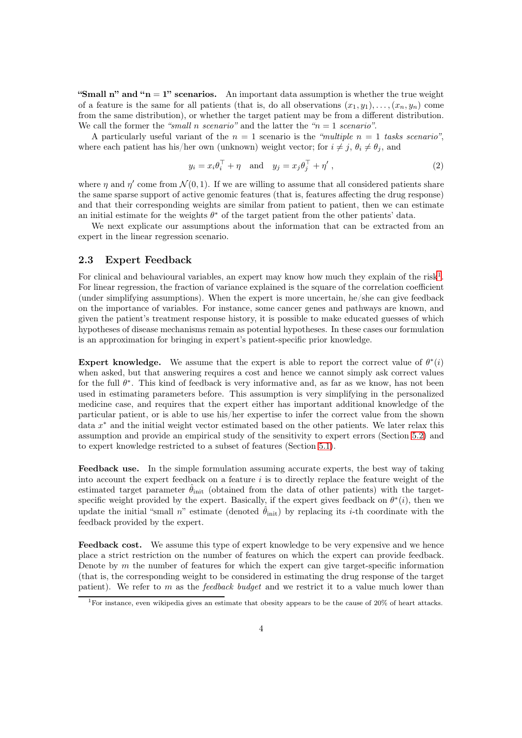"Small n" and " $n = 1$ " scenarios. An important data assumption is whether the true weight of a feature is the same for all patients (that is, do all observations  $(x_1, y_1), \ldots, (x_n, y_n)$  come from the same distribution), or whether the target patient may be from a different distribution. We call the former the *"small* n *scenario"* and the latter the *"*n = 1 *scenario"*.

A particularly useful variant of the  $n = 1$  scenario is the *"multiple*  $n = 1$  tasks scenario", where each patient has his/her own (unknown) weight vector; for  $i \neq j$ ,  $\theta_i \neq \theta_j$ , and

$$
y_i = x_i \theta_i^{\top} + \eta \quad \text{and} \quad y_j = x_j \theta_j^{\top} + \eta' \,, \tag{2}
$$

where  $\eta$  and  $\eta'$  come from  $\mathcal{N}(0,1)$ . If we are willing to assume that all considered patients share the same sparse support of active genomic features (that is, features affecting the drug response) and that their corresponding weights are similar from patient to patient, then we can estimate an initial estimate for the weights  $\theta^*$  of the target patient from the other patients' data.

We next explicate our assumptions about the information that can be extracted from an expert in the linear regression scenario.

#### <span id="page-3-1"></span>2.3 Expert Feedback

For clinical and behavioural variables, an expert may know how much they explain of the risk<sup>[1](#page-3-0)</sup>. For linear regression, the fraction of variance explained is the square of the correlation coefficient (under simplifying assumptions). When the expert is more uncertain, he/she can give feedback on the importance of variables. For instance, some cancer genes and pathways are known, and given the patient's treatment response history, it is possible to make educated guesses of which hypotheses of disease mechanisms remain as potential hypotheses. In these cases our formulation is an approximation for bringing in expert's patient-specific prior knowledge.

Expert knowledge. We assume that the expert is able to report the correct value of  $\theta^*(i)$ when asked, but that answering requires a cost and hence we cannot simply ask correct values for the full  $\theta^*$ . This kind of feedback is very informative and, as far as we know, has not been used in estimating parameters before. This assumption is very simplifying in the personalized medicine case, and requires that the expert either has important additional knowledge of the particular patient, or is able to use his/her expertise to infer the correct value from the shown data x <sup>∗</sup> and the initial weight vector estimated based on the other patients. We later relax this assumption and provide an empirical study of the sensitivity to expert errors (Section [5.2\)](#page-10-1) and to expert knowledge restricted to a subset of features (Section [5.1\)](#page-10-0).

Feedback use. In the simple formulation assuming accurate experts, the best way of taking into account the expert feedback on a feature  $i$  is to directly replace the feature weight of the estimated target parameter  $\hat{\theta}_{init}$  (obtained from the data of other patients) with the targetspecific weight provided by the expert. Basically, if the expert gives feedback on  $\theta^*(i)$ , then we update the initial "small n" estimate (denoted  $\hat{\theta}_{init}$ ) by replacing its *i*-th coordinate with the feedback provided by the expert.

Feedback cost. We assume this type of expert knowledge to be very expensive and we hence place a strict restriction on the number of features on which the expert can provide feedback. Denote by  $m$  the number of features for which the expert can give target-specific information (that is, the corresponding weight to be considered in estimating the drug response of the target patient). We refer to m as the *feedback budget* and we restrict it to a value much lower than

<span id="page-3-0"></span><sup>1</sup>For instance, even wikipedia gives an estimate that obesity appears to be the cause of 20% of heart attacks.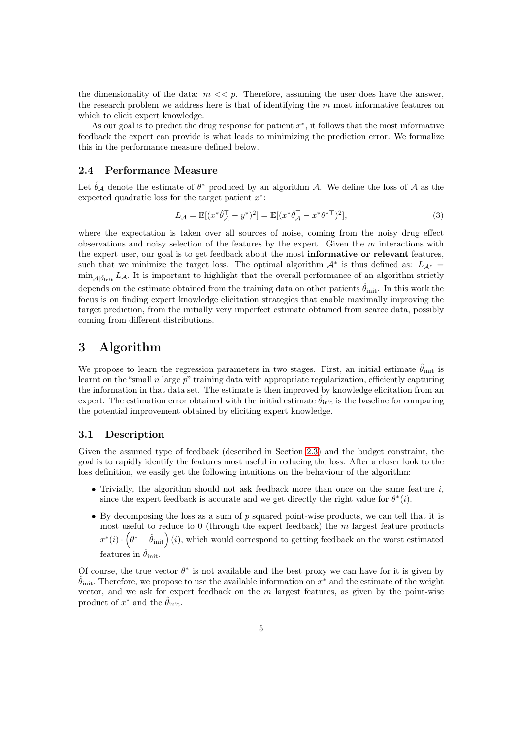the dimensionality of the data:  $m \ll p$ . Therefore, assuming the user does have the answer, the research problem we address here is that of identifying the  $m$  most informative features on which to elicit expert knowledge.

As our goal is to predict the drug response for patient  $x^*$ , it follows that the most informative feedback the expert can provide is what leads to minimizing the prediction error. We formalize this in the performance measure defined below.

### 2.4 Performance Measure

Let  $\hat{\theta}_{\mathcal{A}}$  denote the estimate of  $\theta^*$  produced by an algorithm  $\mathcal{A}$ . We define the loss of  $\mathcal{A}$  as the expected quadratic loss for the target patient  $x^*$ :

$$
L_{\mathcal{A}} = \mathbb{E}[(x^*\hat{\theta}_{\mathcal{A}}^\top - y^*)^2] = \mathbb{E}[(x^*\hat{\theta}_{\mathcal{A}}^\top - x^*\theta^{*\top})^2],\tag{3}
$$

where the expectation is taken over all sources of noise, coming from the noisy drug effect observations and noisy selection of the features by the expert. Given the m interactions with the expert user, our goal is to get feedback about the most informative or relevant features, such that we minimize the target loss. The optimal algorithm  $A^*$  is thus defined as:  $L_{A^*} =$  $\min_{\mathcal{A}|\hat{\theta}_{init}} L_{\mathcal{A}}$ . It is important to highlight that the overall performance of an algorithm strictly depends on the estimate obtained from the training data on other patients  $\hat{\theta}_{\text{init}}$ . In this work the focus is on finding expert knowledge elicitation strategies that enable maximally improving the target prediction, from the initially very imperfect estimate obtained from scarce data, possibly coming from different distributions.

## <span id="page-4-0"></span>3 Algorithm

We propose to learn the regression parameters in two stages. First, an initial estimate  $\hat{\theta}_{init}$  is learnt on the "small  $n$  large  $p$ " training data with appropriate regularization, efficiently capturing the information in that data set. The estimate is then improved by knowledge elicitation from an expert. The estimation error obtained with the initial estimate  $\hat{\theta}_{init}$  is the baseline for comparing the potential improvement obtained by eliciting expert knowledge.

#### 3.1 Description

Given the assumed type of feedback (described in Section [2.3\)](#page-3-1) and the budget constraint, the goal is to rapidly identify the features most useful in reducing the loss. After a closer look to the loss definition, we easily get the following intuitions on the behaviour of the algorithm:

- Trivially, the algorithm should not ask feedback more than once on the same feature  $i$ , since the expert feedback is accurate and we get directly the right value for  $\theta^*(i)$ .
- By decomposing the loss as a sum of  $p$  squared point-wise products, we can tell that it is most useful to reduce to  $0$  (through the expert feedback) the m largest feature products  $x^*(i) \cdot (\theta^* - \hat{\theta}_{init})$  (i), which would correspond to getting feedback on the worst estimated features in  $\hat{\theta}_{init}$ .

Of course, the true vector  $\theta^*$  is not available and the best proxy we can have for it is given by  $\hat{\theta}_{init}$ . Therefore, we propose to use the available information on  $x^*$  and the estimate of the weight vector, and we ask for expert feedback on the  $m$  largest features, as given by the point-wise product of  $x^*$  and the  $\hat{\theta}_{init}$ .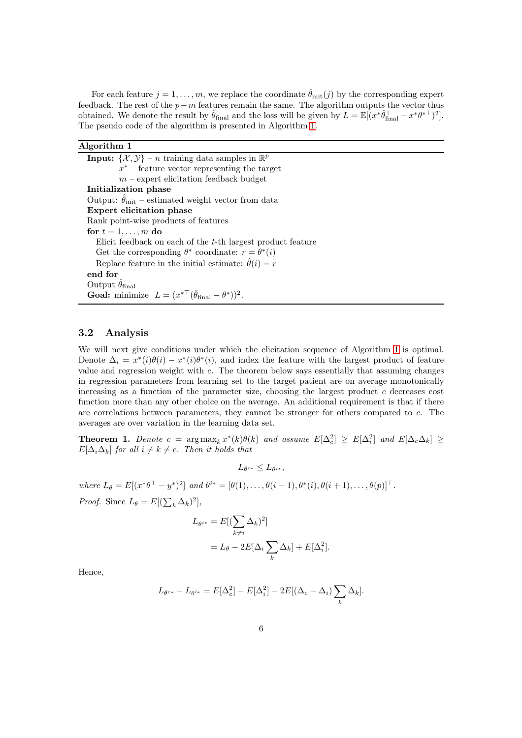For each feature  $j = 1, \ldots, m$ , we replace the coordinate  $\hat{\theta}_{init}(j)$  by the corresponding expert feedback. The rest of the  $p-m$  features remain the same. The algorithm outputs the vector thus obtained. We denote the result by  $\hat{\theta}_{\text{final}}$  and the loss will be given by  $L = \mathbb{E}[(x^*\hat{\theta}_{\text{final}}^\top - x^*\theta^*)^2]$ . The pseudo code of the algorithm is presented in Algorithm [1.](#page-5-0)

<span id="page-5-0"></span>

| Algorithm 1                                                                                      |
|--------------------------------------------------------------------------------------------------|
| <b>Input:</b> $\{\mathcal{X}, \mathcal{Y}\}\$ – <i>n</i> training data samples in $\mathbb{R}^p$ |
| $x^*$ – feature vector representing the target                                                   |
| $m$ – expert elicitation feedback budget                                                         |
| Initialization phase                                                                             |
| Output: $\hat{\theta}_{init}$ – estimated weight vector from data                                |
| Expert elicitation phase                                                                         |
| Rank point-wise products of features                                                             |
| for $t = 1, \ldots, m$ do                                                                        |
| Elicit feedback on each of the $t$ -th largest product feature                                   |
| Get the corresponding $\theta^*$ coordinate: $r = \theta^*(i)$                                   |
| Replace feature in the initial estimate: $\hat{\theta}(i) = r$                                   |
| end for                                                                                          |
| Output $\theta_{\text{final}}$                                                                   |
| <b>Goal:</b> minimize $L = (x^{*\top}(\hat{\theta}_{\text{final}} - \theta^*))^2$ .              |

#### <span id="page-5-1"></span>3.2 Analysis

We will next give conditions under which the elicitation sequence of Algorithm [1](#page-5-0) is optimal. Denote  $\Delta_i = x^*(i)\theta(i) - x^*(i)\theta^*(i)$ , and index the feature with the largest product of feature value and regression weight with  $c$ . The theorem below says essentially that assuming changes in regression parameters from learning set to the target patient are on average monotonically increasing as a function of the parameter size, choosing the largest product  $c$  decreases cost function more than any other choice on the average. An additional requirement is that if there are correlations between parameters, they cannot be stronger for others compared to c. The averages are over variation in the learning data set.

**Theorem 1.** Denote  $c = \arg \max_k x^*(k)\theta(k)$  and assume  $E[\Delta_c^2] \ge E[\Delta_i^2]$  and  $E[\Delta_c \Delta_k] \ge$  $E[\Delta_i\Delta_k]$  *for all*  $i \neq k \neq c$ *. Then it holds that* 

 $L_{\theta^{c*}} \leq L_{\theta^{i*}},$ 

*where*  $L_{\theta} = E[(x^*\theta^\top - y^*)^2]$  *and*  $\theta^{i*} = [\theta(1), \ldots, \theta(i-1), \theta^*(i), \theta(i+1), \ldots, \theta(p)]^\top$ .

*Proof.* Since  $L_{\theta} = E[(\sum_{k} \Delta_{k})^{2}],$ 

$$
L_{\theta^{i*}} = E[(\sum_{k \neq i} \Delta_k)^2]
$$
  
=  $L_{\theta} - 2E[\Delta_i \sum_k \Delta_k] + E[\Delta_i^2].$ 

Hence,

$$
L_{\theta^{c*}} - L_{\theta^{i*}} = E[\Delta_c^2] - E[\Delta_i^2] - 2E[(\Delta_c - \Delta_i) \sum_k \Delta_k].
$$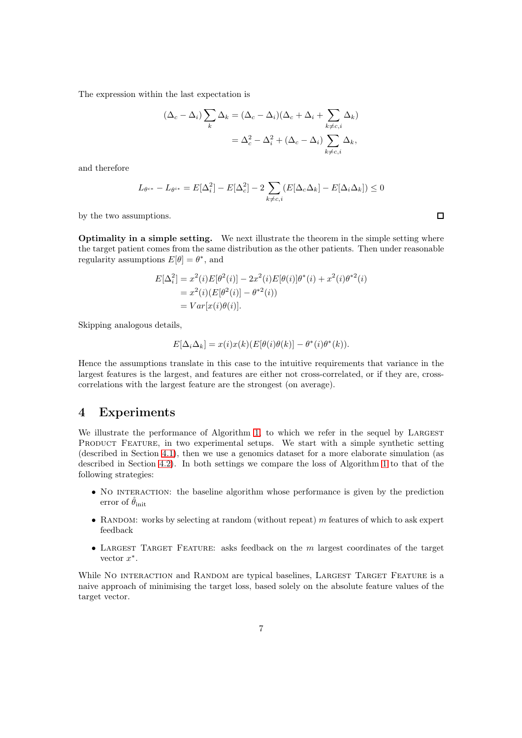The expression within the last expectation is

$$
(\Delta_c - \Delta_i) \sum_k \Delta_k = (\Delta_c - \Delta_i)(\Delta_c + \Delta_i + \sum_{k \neq c, i} \Delta_k)
$$
  
=  $\Delta_c^2 - \Delta_i^2 + (\Delta_c - \Delta_i) \sum_{k \neq c, i} \Delta_k$ ,

and therefore

 $L_{\theta^{c*}}-L_{\theta^{i*}}=E[\Delta_i^2]-E[\Delta_c^2]-2\,\sum$  $k \neq c,i$  $(E[\Delta_c\Delta_k] - E[\Delta_i\Delta_k]) \leq 0$ 

by the two assumptions.

Optimality in a simple setting. We next illustrate the theorem in the simple setting where the target patient comes from the same distribution as the other patients. Then under reasonable regularity assumptions  $E[\theta] = \theta^*$ , and

$$
E[\Delta_i^2] = x^2(i)E[\theta^2(i)] - 2x^2(i)E[\theta(i)]\theta^*(i) + x^2(i)\theta^{*2}(i)
$$
  
=  $x^2(i)(E[\theta^2(i)] - \theta^{*2}(i))$   
=  $Var[x(i)\theta(i)].$ 

Skipping analogous details,

$$
E[\Delta_i \Delta_k] = x(i)x(k)(E[\theta(i)\theta(k)] - \theta^*(i)\theta^*(k)).
$$

Hence the assumptions translate in this case to the intuitive requirements that variance in the largest features is the largest, and features are either not cross-correlated, or if they are, crosscorrelations with the largest feature are the strongest (on average).

## <span id="page-6-0"></span>4 Experiments

We illustrate the performance of Algorithm [1,](#page-5-0) to which we refer in the sequel by LARGEST PRODUCT FEATURE, in two experimental setups. We start with a simple synthetic setting (described in Section [4.1\)](#page-7-0), then we use a genomics dataset for a more elaborate simulation (as described in Section [4.2\)](#page-7-1). In both settings we compare the loss of Algorithm [1](#page-5-0) to that of the following strategies:

- No INTERACTION: the baseline algorithm whose performance is given by the prediction error of  $\hat{\theta}_{init}$
- RANDOM: works by selecting at random (without repeat)  $m$  features of which to ask expert feedback
- LARGEST TARGET FEATURE: asks feedback on the  $m$  largest coordinates of the target vector  $x^*$ .

While NO INTERACTION and RANDOM are typical baselines, LARGEST TARGET FEATURE is a naive approach of minimising the target loss, based solely on the absolute feature values of the target vector.

 $\Box$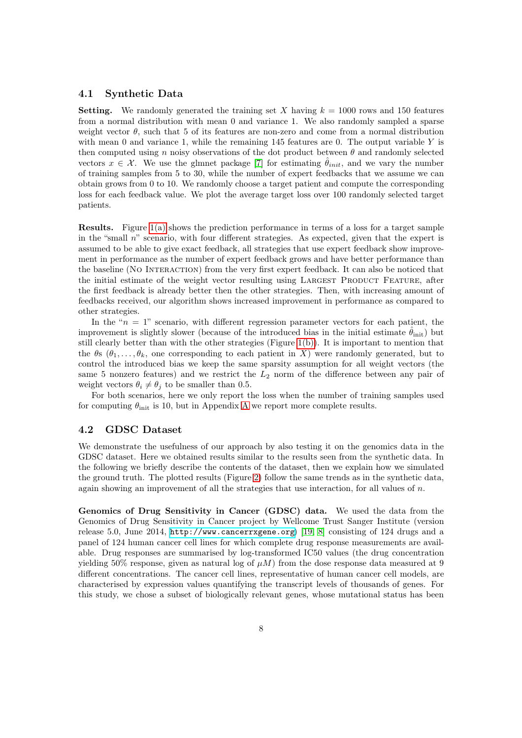#### <span id="page-7-0"></span>4.1 Synthetic Data

**Setting.** We randomly generated the training set X having  $k = 1000$  rows and 150 features from a normal distribution with mean 0 and variance 1. We also randomly sampled a sparse weight vector  $\theta$ , such that 5 of its features are non-zero and come from a normal distribution with mean 0 and variance 1, while the remaining 145 features are 0. The output variable  $Y$  is then computed using n noisy observations of the dot product between  $\theta$  and randomly selected vectors  $x \in \mathcal{X}$ . We use the glmnet package [\[7\]](#page-13-10) for estimating  $\hat{\theta}_{init}$ , and we vary the number of training samples from 5 to 30, while the number of expert feedbacks that we assume we can obtain grows from 0 to 10. We randomly choose a target patient and compute the corresponding loss for each feedback value. We plot the average target loss over 100 randomly selected target patients.

Results. Figure [1\(a\)](#page-8-0) shows the prediction performance in terms of a loss for a target sample in the "small  $n$ " scenario, with four different strategies. As expected, given that the expert is assumed to be able to give exact feedback, all strategies that use expert feedback show improvement in performance as the number of expert feedback grows and have better performance than the baseline (No Interaction) from the very first expert feedback. It can also be noticed that the initial estimate of the weight vector resulting using LARGEST PRODUCT FEATURE, after the first feedback is already better then the other strategies. Then, with increasing amount of feedbacks received, our algorithm shows increased improvement in performance as compared to other strategies.

In the " $n = 1$ " scenario, with different regression parameter vectors for each patient, the improvement is slightly slower (because of the introduced bias in the initial estimate  $\hat{\theta}_{init}$ ) but still clearly better than with the other strategies (Figure [1\(b\)\)](#page-8-1). It is important to mention that the  $\theta$ s  $(\theta_1, \ldots, \theta_k)$ , one corresponding to each patient in X) were randomly generated, but to control the introduced bias we keep the same sparsity assumption for all weight vectors (the same 5 nonzero features) and we restrict the  $L_2$  norm of the difference between any pair of weight vectors  $\theta_i \neq \theta_j$  to be smaller than 0.5.

For both scenarios, here we only report the loss when the number of training samples used for computing  $\theta_{\text{init}}$  is 10, but in [A](#page-15-0)ppendix A we report more complete results.

### <span id="page-7-1"></span>4.2 GDSC Dataset

We demonstrate the usefulness of our approach by also testing it on the genomics data in the GDSC dataset. Here we obtained results similar to the results seen from the synthetic data. In the following we briefly describe the contents of the dataset, then we explain how we simulated the ground truth. The plotted results (Figure [2\)](#page-9-0) follow the same trends as in the synthetic data, again showing an improvement of all the strategies that use interaction, for all values of  $n$ .

Genomics of Drug Sensitivity in Cancer (GDSC) data. We used the data from the Genomics of Drug Sensitivity in Cancer project by Wellcome Trust Sanger Institute (version release 5.0, June 2014, <http://www.cancerrxgene.org>) [\[19,](#page-14-2) [8\]](#page-13-11) consisting of 124 drugs and a panel of 124 human cancer cell lines for which complete drug response measurements are available. Drug responses are summarised by log-transformed IC50 values (the drug concentration yielding 50% response, given as natural log of  $\mu$ M) from the dose response data measured at 9 different concentrations. The cancer cell lines, representative of human cancer cell models, are characterised by expression values quantifying the transcript levels of thousands of genes. For this study, we chose a subset of biologically relevant genes, whose mutational status has been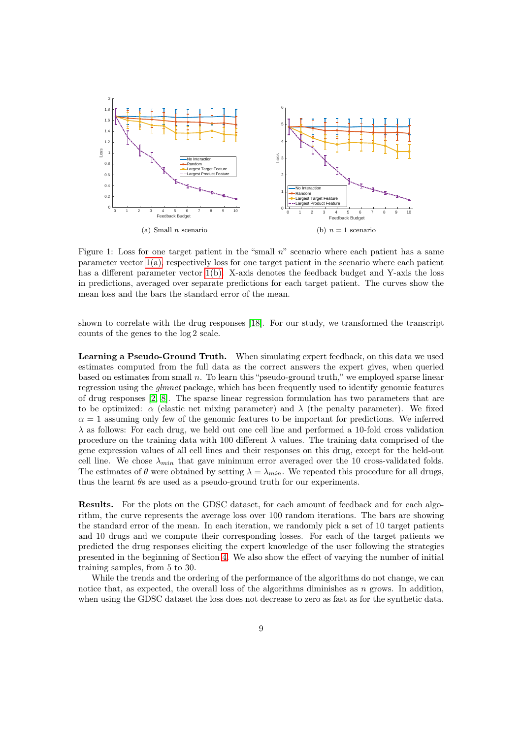<span id="page-8-0"></span>

<span id="page-8-1"></span>Figure 1: Loss for one target patient in the "small n" scenario where each patient has a same parameter vector [1\(a\),](#page-8-0) respectively loss for one target patient in the scenario where each patient has a different parameter vector [1\(b\).](#page-8-1) X-axis denotes the feedback budget and Y-axis the loss in predictions, averaged over separate predictions for each target patient. The curves show the mean loss and the bars the standard error of the mean.

shown to correlate with the drug responses [\[18\]](#page-14-3). For our study, we transformed the transcript counts of the genes to the log 2 scale.

Learning a Pseudo-Ground Truth. When simulating expert feedback, on this data we used estimates computed from the full data as the correct answers the expert gives, when queried based on estimates from small n. To learn this "pseudo-ground truth," we employed sparse linear regression using the *glmnet* package, which has been frequently used to identify genomic features of drug responses [\[2,](#page-12-1) [8\]](#page-13-11). The sparse linear regression formulation has two parameters that are to be optimized:  $\alpha$  (elastic net mixing parameter) and  $\lambda$  (the penalty parameter). We fixed  $\alpha = 1$  assuming only few of the genomic features to be important for predictions. We inferred  $\lambda$  as follows: For each drug, we held out one cell line and performed a 10-fold cross validation procedure on the training data with 100 different  $\lambda$  values. The training data comprised of the gene expression values of all cell lines and their responses on this drug, except for the held-out cell line. We chose  $\lambda_{min}$  that gave minimum error averaged over the 10 cross-validated folds. The estimates of  $\theta$  were obtained by setting  $\lambda = \lambda_{min}$ . We repeated this procedure for all drugs, thus the learnt  $\theta$ s are used as a pseudo-ground truth for our experiments.

Results. For the plots on the GDSC dataset, for each amount of feedback and for each algorithm, the curve represents the average loss over 100 random iterations. The bars are showing the standard error of the mean. In each iteration, we randomly pick a set of 10 target patients and 10 drugs and we compute their corresponding losses. For each of the target patients we predicted the drug responses eliciting the expert knowledge of the user following the strategies presented in the beginning of Section [4.](#page-6-0) We also show the effect of varying the number of initial training samples, from 5 to 30.

While the trends and the ordering of the performance of the algorithms do not change, we can notice that, as expected, the overall loss of the algorithms diminishes as  $n$  grows. In addition, when using the GDSC dataset the loss does not decrease to zero as fast as for the synthetic data.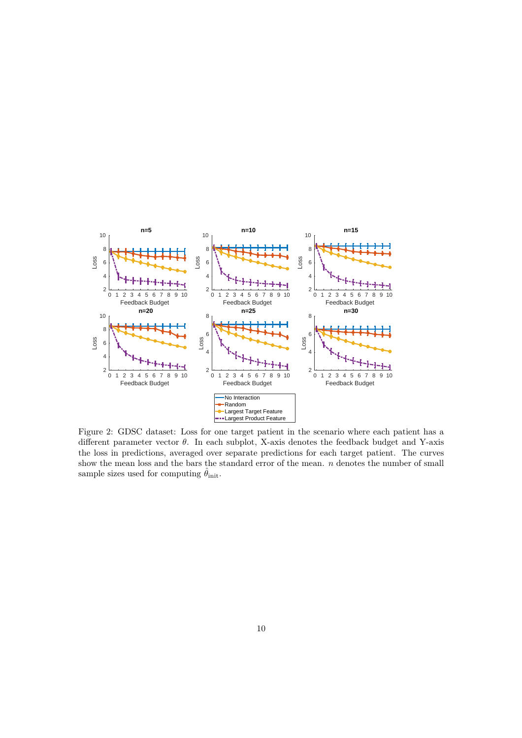<span id="page-9-0"></span>

Figure 2: GDSC dataset: Loss for one target patient in the scenario where each patient has a different parameter vector  $\theta$ . In each subplot, X-axis denotes the feedback budget and Y-axis the loss in predictions, averaged over separate predictions for each target patient. The curves show the mean loss and the bars the standard error of the mean.  $n$  denotes the number of small sample sizes used for computing  $\hat{\theta}_{init}$ .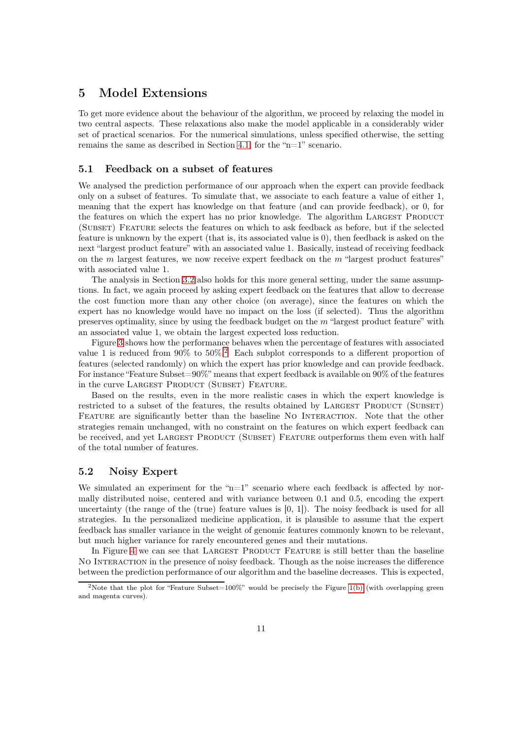# 5 Model Extensions

To get more evidence about the behaviour of the algorithm, we proceed by relaxing the model in two central aspects. These relaxations also make the model applicable in a considerably wider set of practical scenarios. For the numerical simulations, unless specified otherwise, the setting remains the same as described in Section [4.1,](#page-7-0) for the "n=1" scenario.

#### <span id="page-10-0"></span>5.1 Feedback on a subset of features

We analysed the prediction performance of our approach when the expert can provide feedback only on a subset of features. To simulate that, we associate to each feature a value of either 1, meaning that the expert has knowledge on that feature (and can provide feedback), or 0, for the features on which the expert has no prior knowledge. The algorithm LARGEST PRODUCT (SUBSET) FEATURE selects the features on which to ask feedback as before, but if the selected feature is unknown by the expert (that is, its associated value is 0), then feedback is asked on the next "largest product feature" with an associated value 1. Basically, instead of receiving feedback on the  $m$  largest features, we now receive expert feedback on the  $m$  "largest product features" with associated value 1.

The analysis in Section [3.2](#page-5-1) also holds for this more general setting, under the same assumptions. In fact, we again proceed by asking expert feedback on the features that allow to decrease the cost function more than any other choice (on average), since the features on which the expert has no knowledge would have no impact on the loss (if selected). Thus the algorithm preserves optimality, since by using the feedback budget on the  $m$  "largest product feature" with an associated value 1, we obtain the largest expected loss reduction.

Figure [3](#page-11-1) shows how the performance behaves when the percentage of features with associated value 1 is reduced from 90% to 50%.<sup>[2](#page-10-2)</sup> Each subplot corresponds to a different proportion of features (selected randomly) on which the expert has prior knowledge and can provide feedback. For instance "Feature Subset=90%" means that expert feedback is available on 90% of the features in the curve LARGEST PRODUCT (SUBSET) FEATURE.

Based on the results, even in the more realistic cases in which the expert knowledge is restricted to a subset of the features, the results obtained by LARGEST PRODUCT (SUBSET) FEATURE are significantly better than the baseline NO INTERACTION. Note that the other strategies remain unchanged, with no constraint on the features on which expert feedback can be received, and yet LARGEST PRODUCT (SUBSET) FEATURE outperforms them even with half of the total number of features.

#### <span id="page-10-1"></span>5.2 Noisy Expert

We simulated an experiment for the " $n=1$ " scenario where each feedback is affected by normally distributed noise, centered and with variance between 0.1 and 0.5, encoding the expert uncertainty (the range of the (true) feature values is  $[0, 1]$ ). The noisy feedback is used for all strategies. In the personalized medicine application, it is plausible to assume that the expert feedback has smaller variance in the weight of genomic features commonly known to be relevant, but much higher variance for rarely encountered genes and their mutations.

In Figure [4](#page-12-2) we can see that LARGEST PRODUCT FEATURE is still better than the baseline No Interaction in the presence of noisy feedback. Though as the noise increases the difference between the prediction performance of our algorithm and the baseline decreases. This is expected,

<span id="page-10-2"></span><sup>&</sup>lt;sup>2</sup>Note that the plot for "Feature Subset=100%" would be precisely the Figure [1\(b\)](#page-8-1) (with overlapping green and magenta curves).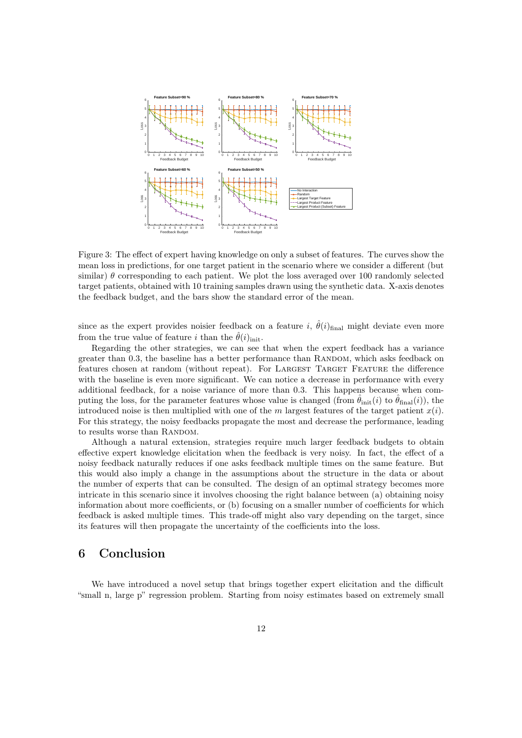<span id="page-11-1"></span>

Figure 3: The effect of expert having knowledge on only a subset of features. The curves show the mean loss in predictions, for one target patient in the scenario where we consider a different (but similar)  $\theta$  corresponding to each patient. We plot the loss averaged over 100 randomly selected target patients, obtained with 10 training samples drawn using the synthetic data. X-axis denotes the feedback budget, and the bars show the standard error of the mean.

since as the expert provides noisier feedback on a feature i,  $\hat{\theta}(i)_{\text{final}}$  might deviate even more from the true value of feature i than the  $\hat{\theta}(i)_{\text{init}}$ .

Regarding the other strategies, we can see that when the expert feedback has a variance greater than 0.3, the baseline has a better performance than RANDOM, which asks feedback on features chosen at random (without repeat). For LARGEST TARGET FEATURE the difference with the baseline is even more significant. We can notice a decrease in performance with every additional feedback, for a noise variance of more than 0.3. This happens because when computing the loss, for the parameter features whose value is changed (from  $\theta_{\text{init}}(i)$  to  $\theta_{\text{final}}(i)$ ), the introduced noise is then multiplied with one of the m largest features of the target patient  $x(i)$ . For this strategy, the noisy feedbacks propagate the most and decrease the performance, leading to results worse than RANDOM.

Although a natural extension, strategies require much larger feedback budgets to obtain effective expert knowledge elicitation when the feedback is very noisy. In fact, the effect of a noisy feedback naturally reduces if one asks feedback multiple times on the same feature. But this would also imply a change in the assumptions about the structure in the data or about the number of experts that can be consulted. The design of an optimal strategy becomes more intricate in this scenario since it involves choosing the right balance between (a) obtaining noisy information about more coefficients, or (b) focusing on a smaller number of coefficients for which feedback is asked multiple times. This trade-off might also vary depending on the target, since its features will then propagate the uncertainty of the coefficients into the loss.

# <span id="page-11-0"></span>6 Conclusion

We have introduced a novel setup that brings together expert elicitation and the difficult "small n, large p" regression problem. Starting from noisy estimates based on extremely small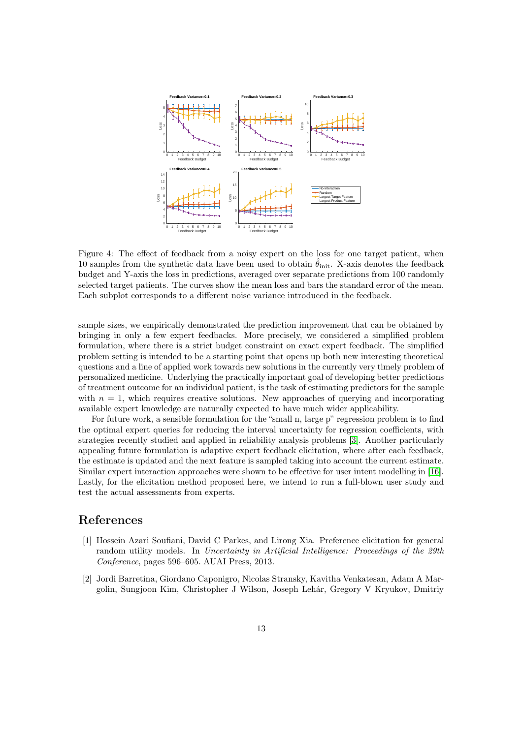<span id="page-12-2"></span>

Figure 4: The effect of feedback from a noisy expert on the loss for one target patient, when 10 samples from the synthetic data have been used to obtain  $\hat{\theta}_{init}$ . X-axis denotes the feedback budget and Y-axis the loss in predictions, averaged over separate predictions from 100 randomly selected target patients. The curves show the mean loss and bars the standard error of the mean. Each subplot corresponds to a different noise variance introduced in the feedback.

sample sizes, we empirically demonstrated the prediction improvement that can be obtained by bringing in only a few expert feedbacks. More precisely, we considered a simplified problem formulation, where there is a strict budget constraint on exact expert feedback. The simplified problem setting is intended to be a starting point that opens up both new interesting theoretical questions and a line of applied work towards new solutions in the currently very timely problem of personalized medicine. Underlying the practically important goal of developing better predictions of treatment outcome for an individual patient, is the task of estimating predictors for the sample with  $n = 1$ , which requires creative solutions. New approaches of querying and incorporating available expert knowledge are naturally expected to have much wider applicability.

For future work, a sensible formulation for the "small n, large p" regression problem is to find the optimal expert queries for reducing the interval uncertainty for regression coefficients, with strategies recently studied and applied in reliability analysis problems [\[3\]](#page-13-12). Another particularly appealing future formulation is adaptive expert feedback elicitation, where after each feedback, the estimate is updated and the next feature is sampled taking into account the current estimate. Similar expert interaction approaches were shown to be effective for user intent modelling in [\[16\]](#page-14-4). Lastly, for the elicitation method proposed here, we intend to run a full-blown user study and test the actual assessments from experts.

# <span id="page-12-0"></span>References

- [1] Hossein Azari Soufiani, David C Parkes, and Lirong Xia. Preference elicitation for general random utility models. In *Uncertainty in Artificial Intelligence: Proceedings of the 29th Conference*, pages 596–605. AUAI Press, 2013.
- <span id="page-12-1"></span>[2] Jordi Barretina, Giordano Caponigro, Nicolas Stransky, Kavitha Venkatesan, Adam A Margolin, Sungjoon Kim, Christopher J Wilson, Joseph Lehár, Gregory V Kryukov, Dmitriy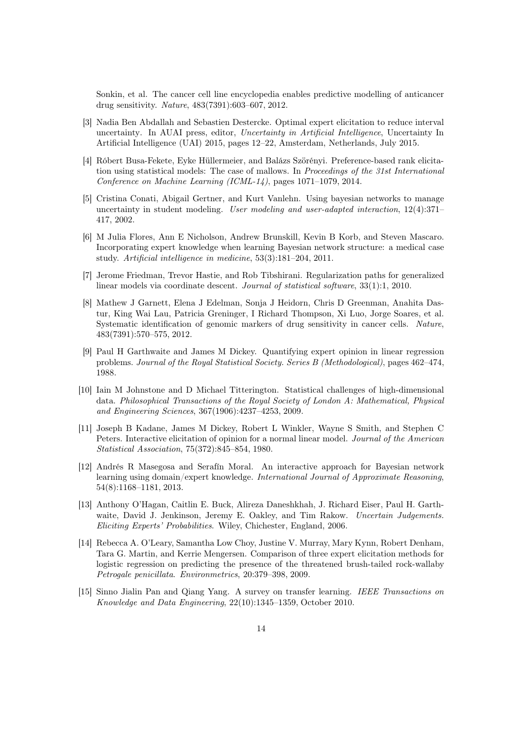Sonkin, et al. The cancer cell line encyclopedia enables predictive modelling of anticancer drug sensitivity. *Nature*, 483(7391):603–607, 2012.

- <span id="page-13-12"></span>[3] Nadia Ben Abdallah and Sebastien Destercke. Optimal expert elicitation to reduce interval uncertainty. In AUAI press, editor, *Uncertainty in Artificial Intelligence*, Uncertainty In Artificial Intelligence (UAI) 2015, pages 12–22, Amsterdam, Netherlands, July 2015.
- <span id="page-13-2"></span>[4] Róbert Busa-Fekete, Eyke Hüllermeier, and Balázs Szörényi. Preference-based rank elicitation using statistical models: The case of mallows. In *Proceedings of the 31st International Conference on Machine Learning (ICML-14)*, pages 1071–1079, 2014.
- <span id="page-13-4"></span>[5] Cristina Conati, Abigail Gertner, and Kurt Vanlehn. Using bayesian networks to manage uncertainty in student modeling. *User modeling and user-adapted interaction*, 12(4):371– 417, 2002.
- <span id="page-13-3"></span>[6] M Julia Flores, Ann E Nicholson, Andrew Brunskill, Kevin B Korb, and Steven Mascaro. Incorporating expert knowledge when learning Bayesian network structure: a medical case study. *Artificial intelligence in medicine*, 53(3):181–204, 2011.
- <span id="page-13-10"></span>[7] Jerome Friedman, Trevor Hastie, and Rob Tibshirani. Regularization paths for generalized linear models via coordinate descent. *Journal of statistical software*, 33(1):1, 2010.
- <span id="page-13-11"></span>[8] Mathew J Garnett, Elena J Edelman, Sonja J Heidorn, Chris D Greenman, Anahita Dastur, King Wai Lau, Patricia Greninger, I Richard Thompson, Xi Luo, Jorge Soares, et al. Systematic identification of genomic markers of drug sensitivity in cancer cells. *Nature*, 483(7391):570–575, 2012.
- <span id="page-13-6"></span>[9] Paul H Garthwaite and James M Dickey. Quantifying expert opinion in linear regression problems. *Journal of the Royal Statistical Society. Series B (Methodological)*, pages 462–474, 1988.
- <span id="page-13-0"></span>[10] Iain M Johnstone and D Michael Titterington. Statistical challenges of high-dimensional data. *Philosophical Transactions of the Royal Society of London A: Mathematical, Physical and Engineering Sciences*, 367(1906):4237–4253, 2009.
- <span id="page-13-7"></span>[11] Joseph B Kadane, James M Dickey, Robert L Winkler, Wayne S Smith, and Stephen C Peters. Interactive elicitation of opinion for a normal linear model. *Journal of the American Statistical Association*, 75(372):845–854, 1980.
- <span id="page-13-5"></span>[12] Andrés R Masegosa and Serafín Moral. An interactive approach for Bayesian network learning using domain/expert knowledge. *International Journal of Approximate Reasoning*, 54(8):1168–1181, 2013.
- <span id="page-13-8"></span>[13] Anthony O'Hagan, Caitlin E. Buck, Alireza Daneshkhah, J. Richard Eiser, Paul H. Garthwaite, David J. Jenkinson, Jeremy E. Oakley, and Tim Rakow. *Uncertain Judgements. Eliciting Experts' Probabilities*. Wiley, Chichester, England, 2006.
- <span id="page-13-9"></span>[14] Rebecca A. O'Leary, Samantha Low Choy, Justine V. Murray, Mary Kynn, Robert Denham, Tara G. Martin, and Kerrie Mengersen. Comparison of three expert elicitation methods for logistic regression on predicting the presence of the threatened brush-tailed rock-wallaby *Petrogale penicillata*. *Environmetrics*, 20:379–398, 2009.
- <span id="page-13-1"></span>[15] Sinno Jialin Pan and Qiang Yang. A survey on transfer learning. *IEEE Transactions on Knowledge and Data Engineering*, 22(10):1345–1359, October 2010.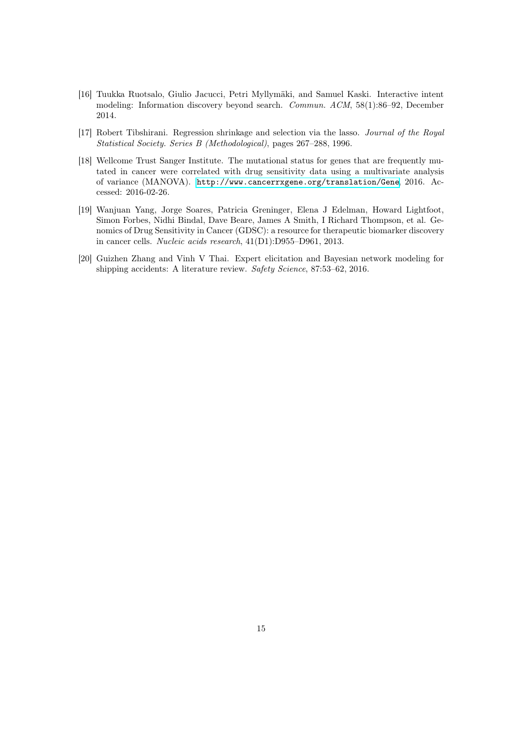- <span id="page-14-4"></span>[16] Tuukka Ruotsalo, Giulio Jacucci, Petri Myllymäki, and Samuel Kaski. Interactive intent modeling: Information discovery beyond search. *Commun. ACM*, 58(1):86–92, December 2014.
- <span id="page-14-0"></span>[17] Robert Tibshirani. Regression shrinkage and selection via the lasso. *Journal of the Royal Statistical Society. Series B (Methodological)*, pages 267–288, 1996.
- <span id="page-14-3"></span>[18] Wellcome Trust Sanger Institute. The mutational status for genes that are frequently mutated in cancer were correlated with drug sensitivity data using a multivariate analysis of variance (MANOVA). <http://www.cancerrxgene.org/translation/Gene>, 2016. Accessed: 2016-02-26.
- <span id="page-14-2"></span>[19] Wanjuan Yang, Jorge Soares, Patricia Greninger, Elena J Edelman, Howard Lightfoot, Simon Forbes, Nidhi Bindal, Dave Beare, James A Smith, I Richard Thompson, et al. Genomics of Drug Sensitivity in Cancer (GDSC): a resource for therapeutic biomarker discovery in cancer cells. *Nucleic acids research*, 41(D1):D955–D961, 2013.
- <span id="page-14-1"></span>[20] Guizhen Zhang and Vinh V Thai. Expert elicitation and Bayesian network modeling for shipping accidents: A literature review. *Safety Science*, 87:53–62, 2016.